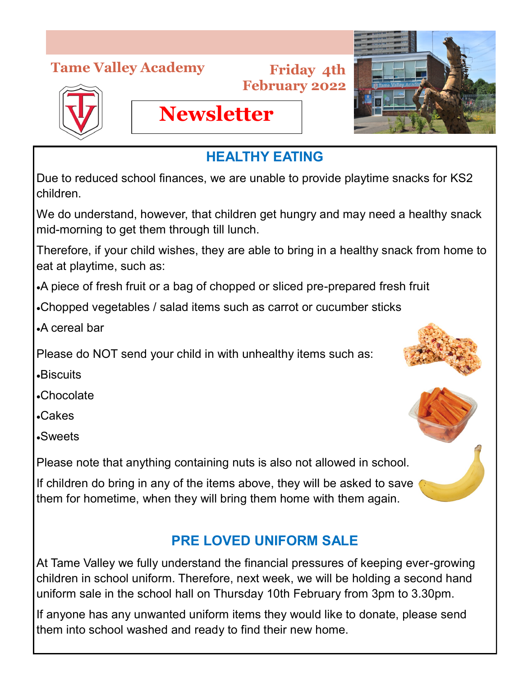## **Tame Valley Academy**

#### **Friday 4th February 2022**





## **HEALTHY EATING**

Due to reduced school finances, we are unable to provide playtime snacks for KS2 children.

We do understand, however, that children get hungry and may need a healthy snack mid-morning to get them through till lunch.

Therefore, if your child wishes, they are able to bring in a healthy snack from home to eat at playtime, such as:

A piece of fresh fruit or a bag of chopped or sliced pre-prepared fresh fruit

Chopped vegetables / salad items such as carrot or cucumber sticks

**Newsletter**

A cereal bar

Please do NOT send your child in with unhealthy items such as:

Biscuits

Chocolate

Cakes

Sweets

Please note that anything containing nuts is also not allowed in school.

If children do bring in any of the items above, they will be asked to save them for hometime, when they will bring them home with them again.

# **PRE LOVED UNIFORM SALE**

At Tame Valley we fully understand the financial pressures of keeping ever-growing children in school uniform. Therefore, next week, we will be holding a second hand uniform sale in the school hall on Thursday 10th February from 3pm to 3.30pm.

If anyone has any unwanted uniform items they would like to donate, please send them into school washed and ready to find their new home.